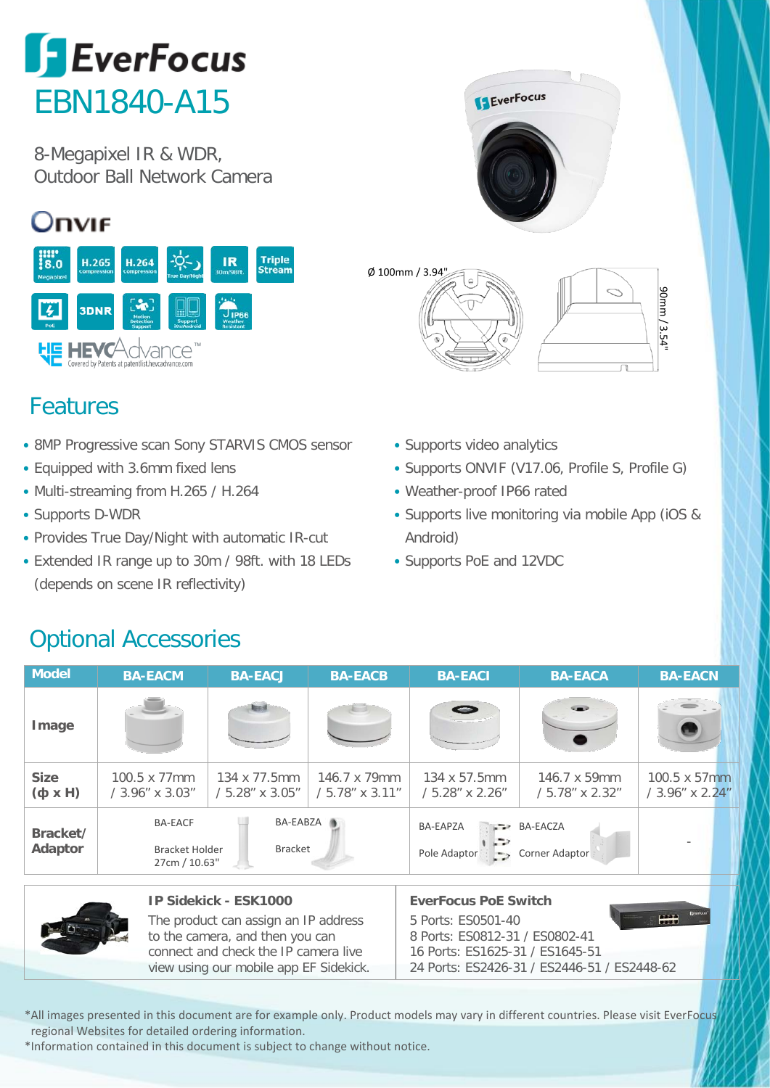

8-Megapixel IR & WDR, Outdoor Ball Network Camera

## Onvie



## **I EverFocus** Ø 100mm / 3.94"90mm / 3.54"

- Features
- 8MP Progressive scan Sony STARVIS CMOS sensor
- Equipped with 3.6mm fixed lens
- Multi-streaming from H.265 / H.264
- Supports D-WDR
- Provides True Day/Night with automatic IR-cut
- Extended IR range up to 30m / 98ft. with 18 LEDs (depends on scene IR reflectivity)
- Supports video analytics
- Supports ONVIF (V17.06, Profile S, Profile G)
- Weather-proof IP66 rated
- Supports live monitoring via mobile App (iOS & Android)
- Supports PoE and 12VDC

## Optional Accessories

| Model                            | <b>BA-EACM</b>                                                                  | <b>BA-EACJ</b>                          | <b>BA-EACB</b>                  | <b>BA-EACI</b>                                                                       | <b>BA-EACA</b>                          | <b>BA-EACN</b>                          |  |
|----------------------------------|---------------------------------------------------------------------------------|-----------------------------------------|---------------------------------|--------------------------------------------------------------------------------------|-----------------------------------------|-----------------------------------------|--|
| Image                            |                                                                                 | <b>Brand</b>                            |                                 | $\equiv$                                                                             |                                         |                                         |  |
| <b>Size</b><br>$(H \times \phi)$ | 100.5 x 77mm<br>/ 3.96" x 3.03"                                                 | 134 x 77.5mm<br>$/5.28'' \times 3.05''$ | 146.7 x 79mm<br>/ 5.78" x 3.11" | 134 x 57.5mm<br>5.28" x 2.26"                                                        | 146.7 x 59mm<br>$/5.78'' \times 2.32''$ | $100.5 \times 57$ mm<br>/ 3.96" x 2.24" |  |
| Bracket/<br>Adaptor              | BA-EABZA<br><b>BA-EACF</b><br><b>Bracket</b><br>Bracket Holder<br>27cm / 10.63" |                                         |                                 | <b>BA-EAPZA</b><br><b>BA-EACZA</b><br>$-2$<br>Pole Adaptor<br>Corner Adaptor<br>$-1$ |                                         |                                         |  |

|  | IP Sidekick - ESK1000                  | <b>EverFocus PoE Switch</b>                 |
|--|----------------------------------------|---------------------------------------------|
|  | The product can assign an IP address   | HH<br>5 Ports: ES0501-40                    |
|  | to the camera, and then you can        | 8 Ports: ES0812-31 / ES0802-41              |
|  | connect and check the IP camera live   | 16 Ports: ES1625-31 / ES1645-51             |
|  | view using our mobile app EF Sidekick. | 24 Ports: ES2426-31 / ES2446-51 / ES2448-62 |
|  |                                        |                                             |

\*All images presented in this document are for example only. Product models may vary in different countries. Please visit EverFocus regional Websites for detailed ordering information.

\*Information contained in this document is subject to change without notice.